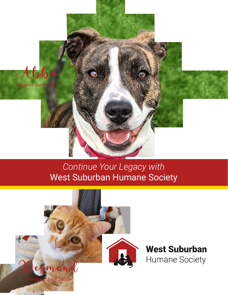

## *Continue Your Legacy with*  West Suburban Humane Society

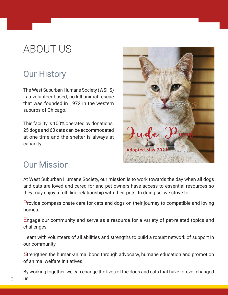# ABOUT US

## Our History

The West Suburban Humane Society (WSHS) is a volunteer-based, no-kill animal rescue that was founded in 1972 in the western suburbs of Chicago.

This facility is 100% operated by donations. 25 dogs and 60 cats can be accommodated at one time and the shelter is always at capacity.



#### Our Mission

At West Suburban Humane Society, our mission is to work towards the day when all dogs and cats are loved and cared for and pet owners have access to essential resources so they may enjoy a fulfilling relationship with their pets. In doing so, we strive to:

Provide compassionate care for cats and dogs on their journey to compatible and loving homes.

Engage our community and serve as a resource for a variety of pet-related topics and challenges.

Team with volunteers of all abilities and strengths to build a robust network of support in our community.

Strengthen the human-animal bond through advocacy, humane education and promotion of animal welfare initiatives.

By working together, we can change the lives of the dogs and cats that have forever changed us.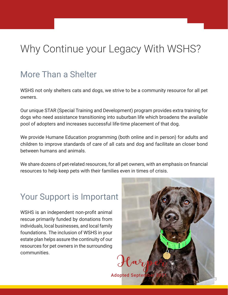# Why Continue your Legacy With WSHS?

## More Than a Shelter

WSHS not only shelters cats and dogs, we strive to be a community resource for all pet owners.

Our unique STAR (Special Training and Development) program provides extra training for dogs who need assistance transitioning into suburban life which broadens the available pool of adopters and increases successful life-time placement of that dog.

We provide Humane Education programming (both online and in person) for adults and children to improve standards of care of all cats and dog and facilitate an closer bond between humans and animals.

We share dozens of pet-related resources, for all pet owners, with an emphasis on financial resources to help keep pets with their families even in times of crisis.

## Your Support is Important

WSHS is an independent non-profit animal rescue primarily funded by donations from individuals, local businesses, and local family foundations. The inclusion of WSHS in your estate plan helps assure the continuity of our resources for pet owners in the surrounding communities.

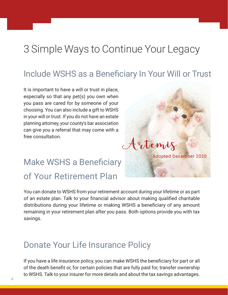# 3 Simple Ways to Continue Your Legacy

#### Include WSHS as a Beneficiary In Your Will or Trust

Artemis

Adopted December 2020

It is important to have a will or trust in place, especially so that any pet(s) you own when you pass are cared for by someone of your choosing. You can also include a gift to WSHS in your will or trust. If you do not have an estate planning attorney, your county's bar association can give you a referral that may come with a free consultation.

# Make WSHS a Beneficiary of Your Retirement Plan

You can donate to WSHS from your retirement account during your lifetime or as part of an estate plan. Talk to your financial advisor about making qualified charitable distributions during your lifetime or making WSHS a beneficiary of any amount remaining in your retirement plan after you pass. Both options provide you with tax savings.

#### Donate Your Life Insurance Policy

If you have a life insurance policy, you can make WSHS the beneficiary for part or all of the death benefit or, for certain policies that are fully paid for, transfer ownership to WSHS. Talk to your insurer for more details and about the tax savings advantages.

i<br>I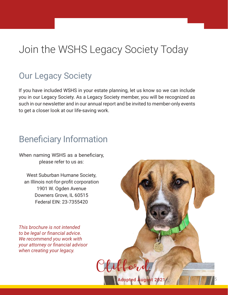# Join the WSHS Legacy Society Today

## Our Legacy Society

If you have included WSHS in your estate planning, let us know so we can include you in our Legacy Society. As a Legacy Society member, you will be recognized as such in our newsletter and in our annual report and be invited to member-only events to get a closer look at our life-saving work.

## Beneficiary Information

When naming WSHS as a beneficiary, please refer to us as:

West Suburban Humane Society, an Illinois not-for-profit corporation 1901 W. Ogden Avenue Downers Grove, IL 60515 Federal EIN: 23-7355420

*This brochure is not intended to be legal or financial advice. We recommend you work with your attorney or financial advisor when creating your legacy.*